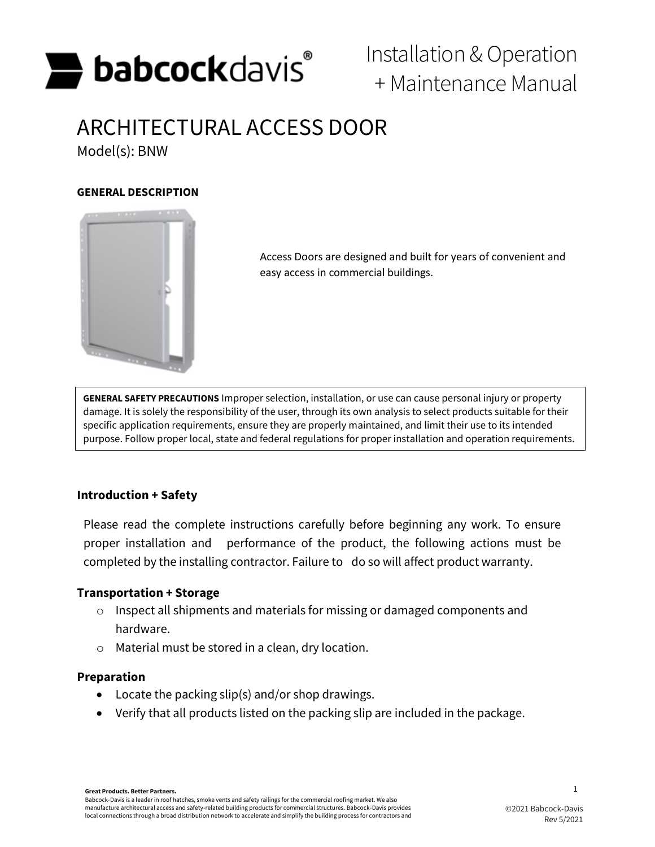

# Installation &Operation + Maintenance Manual

# ARCHITECTURAL ACCESS DOOR

Model(s): BNW

## **GENERAL DESCRIPTION**



Access Doors are designed and built for years of convenient and easy access in commercial buildings.

**GENERAL SAFETY PRECAUTIONS** Improper selection, installation, or use can cause personal injury or property damage. It is solely the responsibility of the user, through its own analysis to select products suitable for their specific application requirements, ensure they are properly maintained, and limit their use to its intended purpose. Follow proper local, state and federal regulations for proper installation and operation requirements.

# **Introduction + Safety**

Please read the complete instructions carefully before beginning any work. To ensure proper installation and performance of the product, the following actions must be completed by the installing contractor. Failure to do so will affect product warranty.

#### **Transportation + Storage**

- o Inspect all shipments and materials for missing or damaged components and hardware.
- o Material must be stored in a clean, dry location.

# **Preparation**

- Locate the packing slip(s) and/or shop drawings.
- Verify that all products listed on the packing slip are included in the package.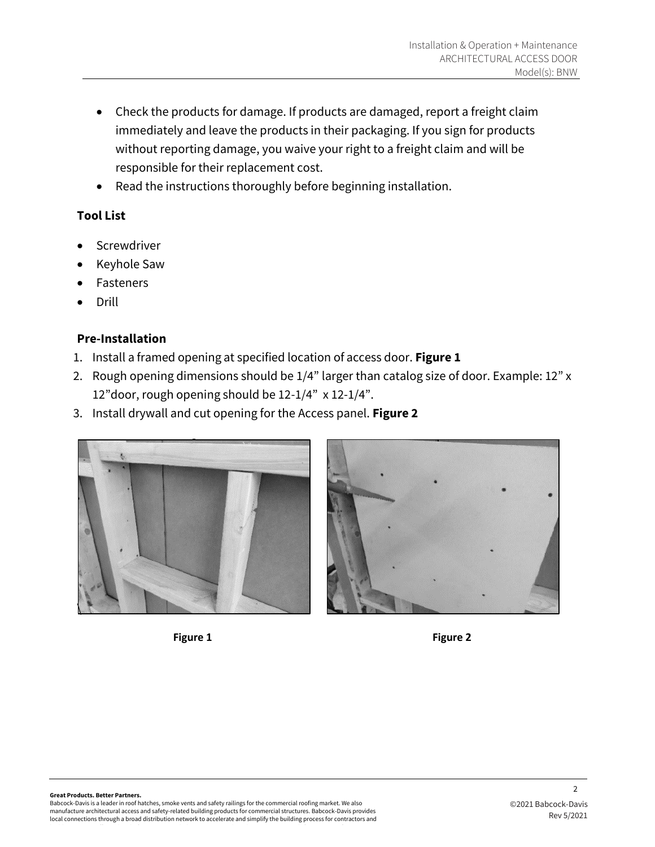- Check the products for damage. If products are damaged, report a freight claim immediately and leave the products in their packaging. If you sign for products without reporting damage, you waive your right to a freight claim and will be responsible for their replacement cost.
- Read the instructions thoroughly before beginning installation.

# **Tool List**

- **Screwdriver**
- Keyhole Saw
- **Fasteners**
- Drill

# **Pre-Installation**

- 1. Install a framed opening at specified location of access door. **Figure 1**
- 2. Rough opening dimensions should be 1/4" larger than catalog size of door. Example: 12" x 12"door, rough opening should be 12-1/4" x 12-1/4".
- 3. Install drywall and cut opening for the Access panel. **Figure 2**





 $\overline{2}$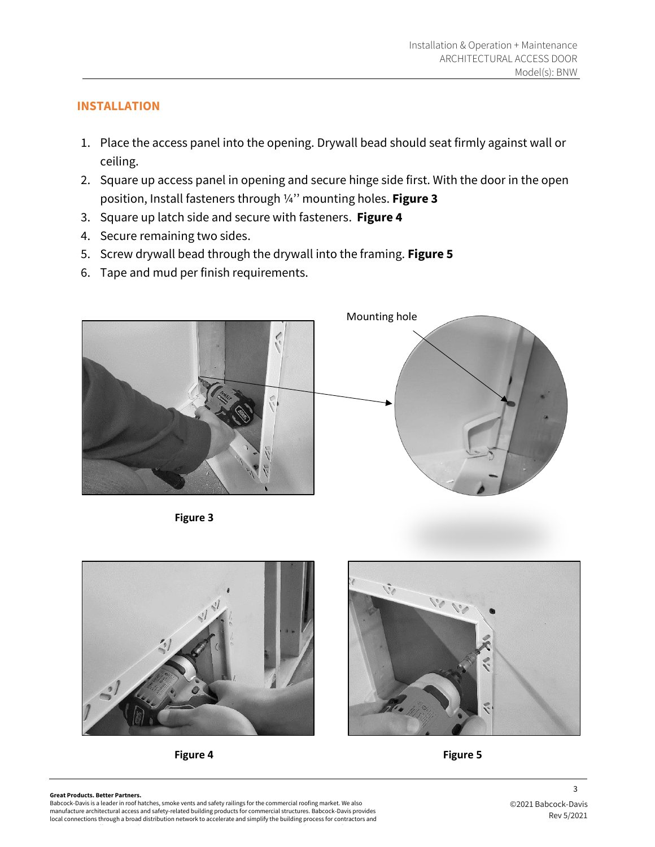## **INSTALLATION**

- 1. Place the access panel into the opening. Drywall bead should seat firmly against wall or ceiling.
- 2. Square up access panel in opening and secure hinge side first. With the door in the open position, Install fasteners through ¼'' mounting holes. **Figure 3**
- 3. Square up latch side and secure with fasteners. **Figure 4**
- 4. Secure remaining two sides.
- 5. Screw drywall bead through the drywall into the framing. **Figure 5**
- 6. Tape and mud per finish requirements.



**Figure 3**







#### **Great Products. Better Partners.**

Babcock-Davis is a leader in roof hatches, smoke vents and safety railings for the commercial roofing market. We also manufacture architectural access and safety-related building products for commercial structures. Babcock-Davis provides local connections through a broad distribution network to accelerate and simplify the building process for contractors and 3